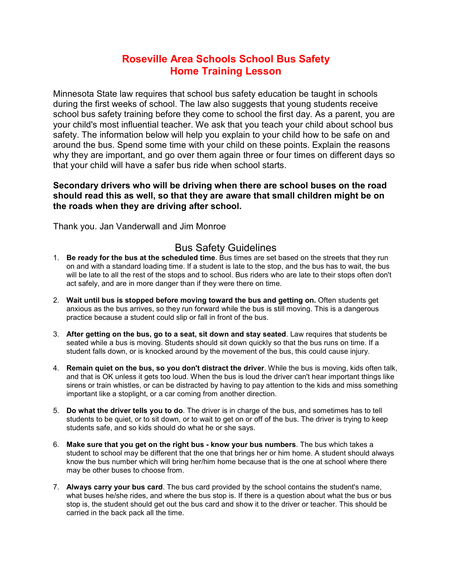## Roseville Area Schools School Bus Safety Home Training Lesson

Minnesota State law requires that school bus safety education be taught in schools during the first weeks of school. The law also suggests that young students receive school bus safety training before they come to school the first day. As a parent, you are your child's most influential teacher. We ask that you teach your child about school bus safety. The information below will help you explain to your child how to be safe on and around the bus. Spend some time with your child on these points. Explain the reasons why they are important, and go over them again three or four times on different days so that your child will have a safer bus ride when school starts.

## Secondary drivers who will be driving when there are school buses on the road should read this as well, so that they are aware that small children might be on the roads when they are driving after school.

Thank you. Jan Vanderwall and Jim Monroe

## Bus Safety Guidelines

- 1. Be ready for the bus at the scheduled time. Bus times are set based on the streets that they run on and with a standard loading time. If a student is late to the stop, and the bus has to wait, the bus will be late to all the rest of the stops and to school. Bus riders who are late to their stops often don't act safely, and are in more danger than if they were there on time.
- 2. Wait until bus is stopped before moving toward the bus and getting on. Often students get anxious as the bus arrives, so they run forward while the bus is still moving. This is a dangerous practice because a student could slip or fall in front of the bus.
- 3. After getting on the bus, go to a seat, sit down and stay seated. Law requires that students be seated while a bus is moving. Students should sit down quickly so that the bus runs on time. If a student falls down, or is knocked around by the movement of the bus, this could cause injury.
- 4. Remain quiet on the bus, so you don't distract the driver. While the bus is moving, kids often talk, and that is OK unless it gets too loud. When the bus is loud the driver can't hear important things like sirens or train whistles, or can be distracted by having to pay attention to the kids and miss something important like a stoplight, or a car coming from another direction.
- 5. Do what the driver tells you to do. The driver is in charge of the bus, and sometimes has to tell students to be quiet, or to sit down, or to wait to get on or off of the bus. The driver is trying to keep students safe, and so kids should do what he or she says.
- 6. Make sure that you get on the right bus know your bus numbers. The bus which takes a student to school may be different that the one that brings her or him home. A student should always know the bus number which will bring her/him home because that is the one at school where there may be other buses to choose from.
- 7. Always carry your bus card. The bus card provided by the school contains the student's name, what buses he/she rides, and where the bus stop is. If there is a question about what the bus or bus stop is, the student should get out the bus card and show it to the driver or teacher. This should be carried in the back pack all the time.